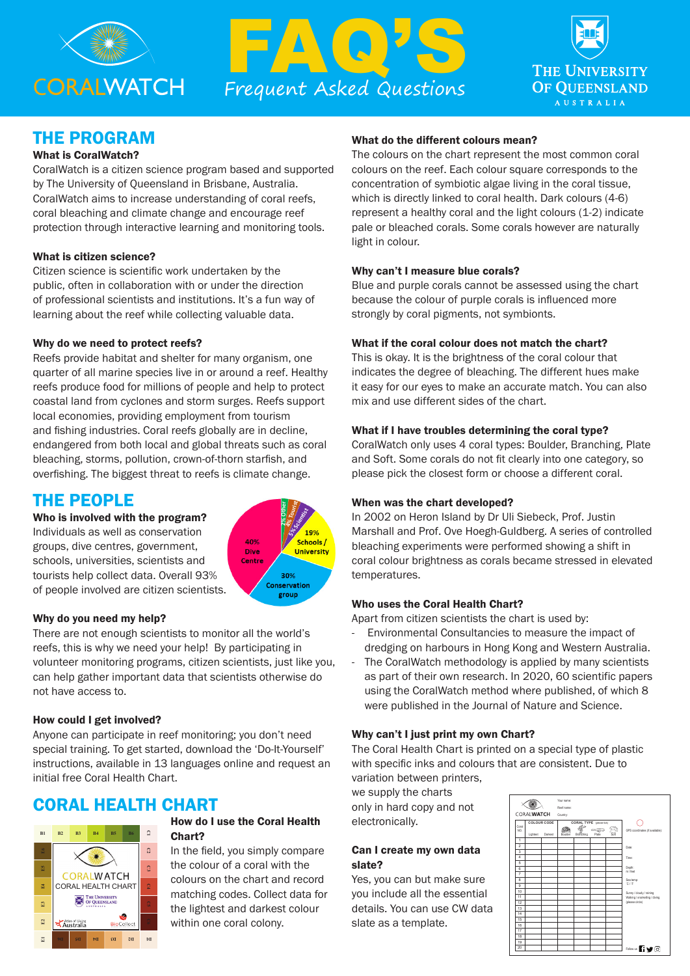





## THE PROGRAM

## What is CoralWatch?

CoralWatch is a citizen science program based and supported by The University of Queensland in Brisbane, Australia. CoralWatch aims to increase understanding of coral reefs, coral bleaching and climate change and encourage reef protection through interactive learning and monitoring tools.

#### What is citizen science?

Citizen science is scientific work undertaken by the public, often in collaboration with or under the direction of professional scientists and institutions. It's a fun way of learning about the reef while collecting valuable data.

### Why do we need to protect reefs?

Reefs provide habitat and shelter for many organism, one quarter of all marine species live in or around a reef. Healthy reefs produce food for millions of people and help to protect coastal land from cyclones and storm surges. Reefs support local economies, providing employment from tourism and fishing industries. Coral reefs globally are in decline, endangered from both local and global threats such as coral bleaching, storms, pollution, crown-of-thorn starfish, and overfishing. The biggest threat to reefs is climate change.

## THE PEOPLE

Who is involved with the program?

Individuals as well as conservation groups, dive centres, government, schools, universities, scientists and tourists help collect data. Overall 93% of people involved are citizen scientists.



### Why do you need my help?

There are not enough scientists to monitor all the world's reefs, this is why we need your help! By participating in volunteer monitoring programs, citizen scientists, just like you, can help gather important data that scientists otherwise do not have access to.

#### How could I get involved?

Anyone can participate in reef monitoring; you don't need special training. To get started, download the 'Do-It-Yourself' instructions, available in 13 languages online and request an initial free Coral Health Chart.

# CORAL HEALTH CHART



## How do I use the Coral Health Chart?

In the field, you simply compare the colour of a coral with the colours on the chart and record matching codes. Collect data for the lightest and darkest colour within one coral colony.

#### What do the different colours mean?

The colours on the chart represent the most common coral colours on the reef. Each colour square corresponds to the concentration of symbiotic algae living in the coral tissue, which is directly linked to coral health. Dark colours (4-6) represent a healthy coral and the light colours (1-2) indicate pale or bleached corals. Some corals however are naturally light in colour.

#### Why can't I measure blue corals?

Blue and purple corals cannot be assessed using the chart because the colour of purple corals is influenced more strongly by coral pigments, not symbionts.

### What if the coral colour does not match the chart?

This is okay. It is the brightness of the coral colour that indicates the degree of bleaching. The different hues make it easy for our eyes to make an accurate match. You can also mix and use different sides of the chart.

### What if I have troubles determining the coral type?

CoralWatch only uses 4 coral types: Boulder, Branching, Plate and Soft. Some corals do not fit clearly into one category, so please pick the closest form or choose a different coral.

### When was the chart developed?

In 2002 on Heron Island by Dr Uli Siebeck, Prof. Justin Marshall and Prof. Ove Hoegh-Guldberg. A series of controlled bleaching experiments were performed showing a shift in coral colour brightness as corals became stressed in elevated temperatures.

#### Who uses the Coral Health Chart?

Apart from citizen scientists the chart is used by:

- Environmental Consultancies to measure the impact of dredging on harbours in Hong Kong and Western Australia.
- The CoralWatch methodology is applied by many scientists as part of their own research. In 2020, 60 scientific papers using the CoralWatch method where published, of which 8 were published in the Journal of Nature and Science.

#### Why can't I just print my own Chart?

The Coral Health Chart is printed on a special type of plastic with specific inks and colours that are consistent. Due to variation between printers,

we supply the charts only in hard copy and not electronically.

#### Can I create my own data slate?

Yes, you can but make sure you include all the essential details. You can use CW data slate as a template.